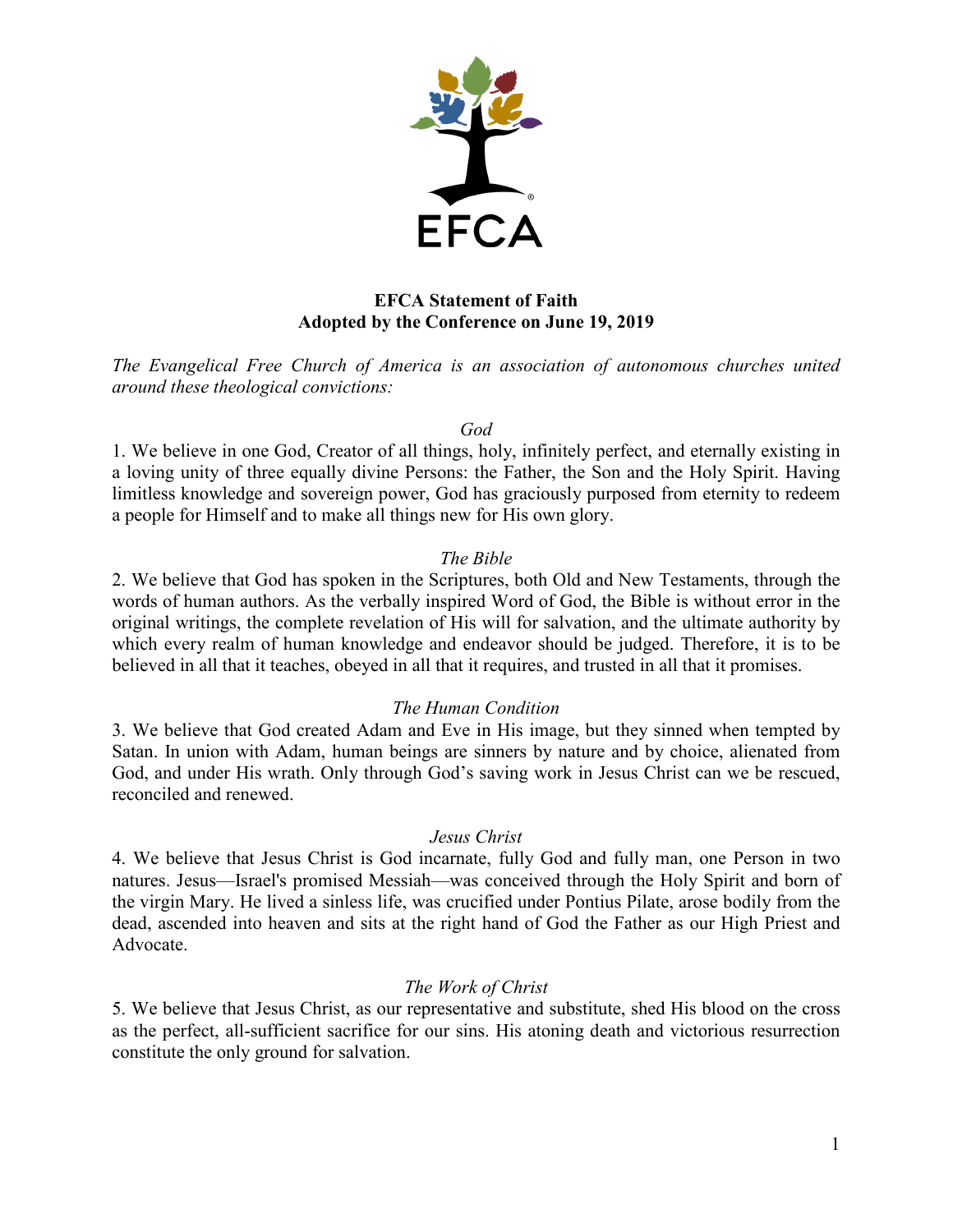

# **EFCA Statement of Faith Adopted by the Conference on June 19, 2019**

*The Evangelical Free Church of America is an association of autonomous churches united around these theological convictions:*

## *God*

1. We believe in one God, Creator of all things, holy, infinitely perfect, and eternally existing in a loving unity of three equally divine Persons: the Father, the Son and the Holy Spirit. Having limitless knowledge and sovereign power, God has graciously purposed from eternity to redeem a people for Himself and to make all things new for His own glory.

# *The Bible*

2. We believe that God has spoken in the Scriptures, both Old and New Testaments, through the words of human authors. As the verbally inspired Word of God, the Bible is without error in the original writings, the complete revelation of His will for salvation, and the ultimate authority by which every realm of human knowledge and endeavor should be judged. Therefore, it is to be believed in all that it teaches, obeyed in all that it requires, and trusted in all that it promises.

## *The Human Condition*

3. We believe that God created Adam and Eve in His image, but they sinned when tempted by Satan. In union with Adam, human beings are sinners by nature and by choice, alienated from God, and under His wrath. Only through God's saving work in Jesus Christ can we be rescued, reconciled and renewed.

## *Jesus Christ*

4. We believe that Jesus Christ is God incarnate, fully God and fully man, one Person in two natures. Jesus—Israel's promised Messiah—was conceived through the Holy Spirit and born of the virgin Mary. He lived a sinless life, was crucified under Pontius Pilate, arose bodily from the dead, ascended into heaven and sits at the right hand of God the Father as our High Priest and Advocate.

# *The Work of Christ*

5. We believe that Jesus Christ, as our representative and substitute, shed His blood on the cross as the perfect, all-sufficient sacrifice for our sins. His atoning death and victorious resurrection constitute the only ground for salvation.